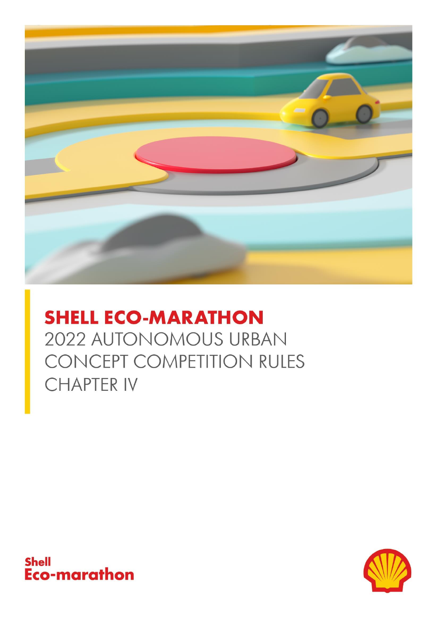

# **SHELL ECO-MARATHON** 2022 AUTONOMOUS URBAN CONCEPT COMPETITION RULES **CHAPTER IV**



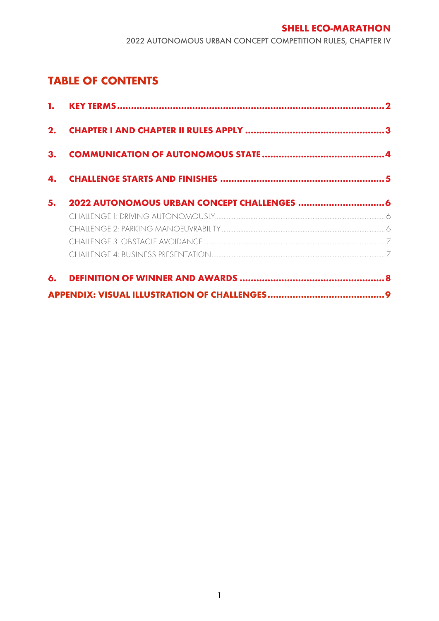# **TABLE OF CONTENTS**

| 2. |  |
|----|--|
| 3. |  |
| 4. |  |
| 5. |  |
|    |  |
|    |  |
|    |  |
|    |  |
|    |  |
|    |  |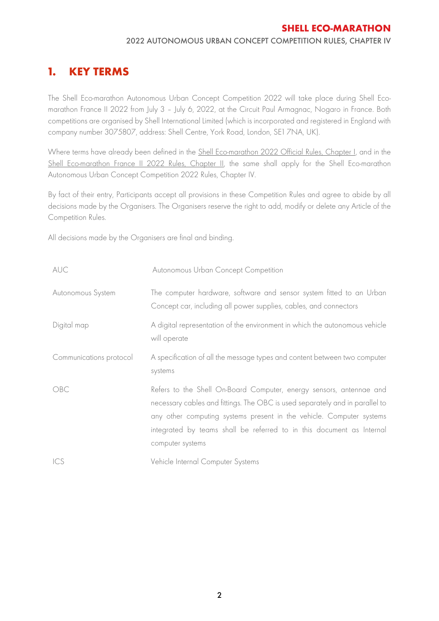#### 2022 AUTONOMOUS URBAN CONCEPT COMPETITION RULES, CHAPTER IV

# <span id="page-3-0"></span>**1. KEY TERMS**

The Shell Eco-marathon Autonomous Urban Concept Competition 2022 will take place during Shell Ecomarathon France II 2022 from July 3 – July 6, 2022, at the Circuit Paul Armagnac, Nogaro in France. Both competitions are organised by Shell International Limited (which is incorporated and registered in England with company number 3075807, address: Shell Centre, York Road, London, SE1 7NA, UK).

Where terms have already been defined in the [Shell Eco-marathon 2022 Official Rules, Chapter I,](https://base.makethefuture.shell/en_gb/service/api/home/shell-eco-marathon/global-rules/_jcr_content/root/content/document_listing/items/download_595134961.stream/1630485146156/38a7abe7331aaa24603d0e8b158565cc726ab78d/shell-eco-marathon-2022-official-rules-chapter-i.pdf) and in the [Shell Eco-marathon France II 2022 Rules, Chapter II,](https://base.makethefuture.shell/en_gb/service/api/home/shell-eco-marathon/2022-programme/on-track/france-ii/_jcr_content/root/content/document_listing/items/download.stream/1652884149406/e8b5c96a1178d7089d44c3c9eaa1a510fb13fd43/shell-eco-marathon-france-ii-2022-official-rules-chapter-ii.pdf) the same shall apply for the Shell Eco-marathon Autonomous Urban Concept Competition 2022 Rules, Chapter IV.

By fact of their entry, Participants accept all provisions in these Competition Rules and agree to abide by all decisions made by the Organisers. The Organisers reserve the right to add, modify or delete any Article of the Competition Rules.

All decisions made by the Organisers are final and binding.

<span id="page-3-1"></span>

| AUC                     | Autonomous Urban Concept Competition                                                                                                                                                                                                                                                                                     |
|-------------------------|--------------------------------------------------------------------------------------------------------------------------------------------------------------------------------------------------------------------------------------------------------------------------------------------------------------------------|
| Autonomous System       | The computer hardware, software and sensor system fitted to an Urban<br>Concept car, including all power supplies, cables, and connectors                                                                                                                                                                                |
| Digital map             | A digital representation of the environment in which the autonomous vehicle<br>will operate                                                                                                                                                                                                                              |
| Communications protocol | A specification of all the message types and content between two computer<br>systems                                                                                                                                                                                                                                     |
| OBC                     | Refers to the Shell On-Board Computer, energy sensors, antennae and<br>necessary cables and fittings. The OBC is used separately and in parallel to<br>any other computing systems present in the vehicle. Computer systems<br>integrated by teams shall be referred to in this document as Internal<br>computer systems |
| ICS                     | Vehicle Internal Computer Systems                                                                                                                                                                                                                                                                                        |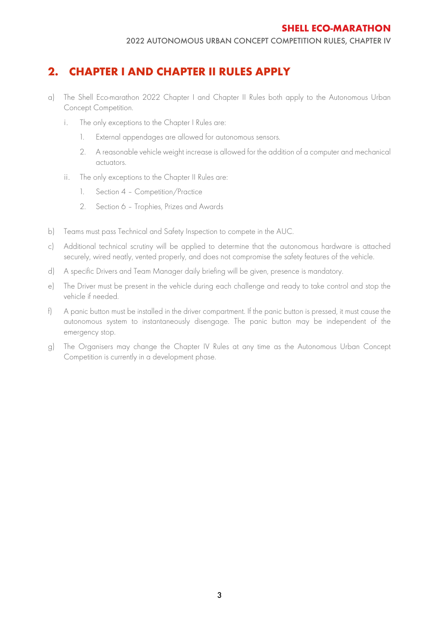# **2. CHAPTER I AND CHAPTER II RULES APPLY**

- a) The Shell Eco-marathon 2022 Chapter I and Chapter II Rules both apply to the Autonomous Urban Concept Competition.
	- i. The only exceptions to the Chapter I Rules are:
		- 1. External appendages are allowed for autonomous sensors.
		- 2. A reasonable vehicle weight increase is allowed for the addition of a computer and mechanical actuators.
	- ii. The only exceptions to the Chapter II Rules are:
		- 1. Section 4 Competition/Practice
		- 2. Section 6 Trophies, Prizes and Awards
- b) Teams must pass Technical and Safety Inspection to compete in the AUC.
- c) Additional technical scrutiny will be applied to determine that the autonomous hardware is attached securely, wired neatly, vented properly, and does not compromise the safety features of the vehicle.
- d) A specific Drivers and Team Manager daily briefing will be given, presence is mandatory.
- e) The Driver must be present in the vehicle during each challenge and ready to take control and stop the vehicle if needed.
- f) A panic button must be installed in the driver compartment. If the panic button is pressed, it must cause the autonomous system to instantaneously disengage. The panic button may be independent of the emergency stop.
- g) The Organisers may change the Chapter IV Rules at any time as the Autonomous Urban Concept Competition is currently in a development phase.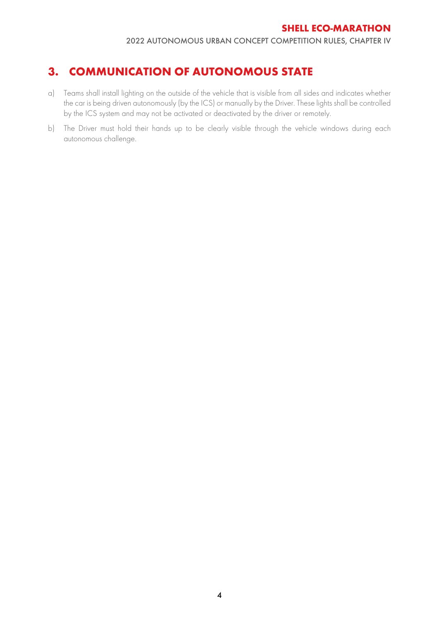2022 AUTONOMOUS URBAN CONCEPT COMPETITION RULES, CHAPTER IV

# <span id="page-5-0"></span>**3. COMMUNICATION OF AUTONOMOUS STATE**

- a) Teams shall install lighting on the outside of the vehicle that is visible from all sides and indicates whether the car is being driven autonomously (by the ICS) or manually by the Driver. These lights shall be controlled by the ICS system and may not be activated or deactivated by the driver or remotely.
- b) The Driver must hold their hands up to be clearly visible through the vehicle windows during each autonomous challenge.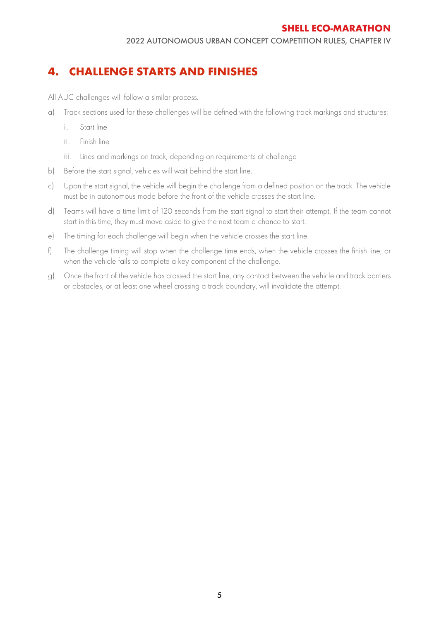# <span id="page-6-0"></span>**4. CHALLENGE STARTS AND FINISHES**

All AUC challenges will follow a similar process.

- a) Track sections used for these challenges will be defined with the following track markings and structures:
	- i. Start line
	- ii. Finish line
	- iii. Lines and markings on track, depending on requirements of challenge
- b) Before the start signal, vehicles will wait behind the start line.
- c) Upon the start signal, the vehicle will begin the challenge from a defined position on the track. The vehicle must be in autonomous mode before the front of the vehicle crosses the start line.
- d) Teams will have a time limit of 120 seconds from the start signal to start their attempt. If the team cannot start in this time, they must move aside to give the next team a chance to start.
- e) The timing for each challenge will begin when the vehicle crosses the start line.
- f) The challenge timing will stop when the challenge time ends, when the vehicle crosses the finish line, or when the vehicle fails to complete a key component of the challenge.
- g) Once the front of the vehicle has crossed the start line, any contact between the vehicle and track barriers or obstacles, or at least one wheel crossing a track boundary, will invalidate the attempt.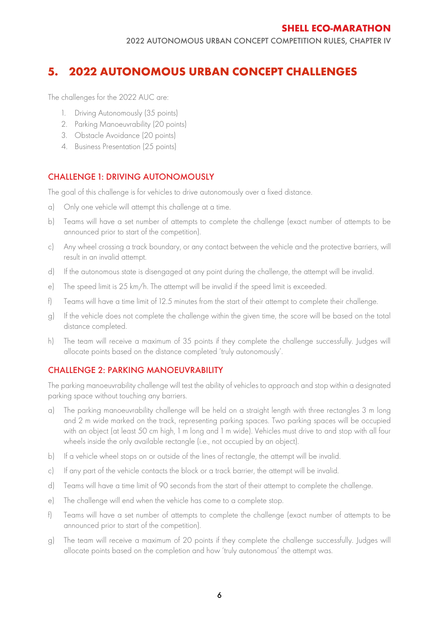# <span id="page-7-0"></span>**5. 2022 AUTONOMOUS URBAN CONCEPT CHALLENGES**

The challenges for the 2022 AUC are:

- 1. Driving Autonomously (35 points)
- 2. Parking Manoeuvrability (20 points)
- 3. Obstacle Avoidance (20 points)
- 4. Business Presentation (25 points)

## <span id="page-7-1"></span>CHALLENGE 1: DRIVING AUTONOMOUSLY

The goal of this challenge is for vehicles to drive autonomously over a fixed distance.

- a) Only one vehicle will attempt this challenge at a time.
- b) Teams will have a set number of attempts to complete the challenge (exact number of attempts to be announced prior to start of the competition).
- c) Any wheel crossing a track boundary, or any contact between the vehicle and the protective barriers, will result in an invalid attempt.
- d) If the autonomous state is disengaged at any point during the challenge, the attempt will be invalid.
- e) The speed limit is 25 km/h. The attempt will be invalid if the speed limit is exceeded.
- f) Teams will have a time limit of 12.5 minutes from the start of their attempt to complete their challenge.
- g) If the vehicle does not complete the challenge within the given time, the score will be based on the total distance completed.
- h) The team will receive a maximum of 35 points if they complete the challenge successfully. Judges will allocate points based on the distance completed 'truly autonomously'.

## <span id="page-7-2"></span>CHALLENGE 2: PARKING MANOEUVRABILITY

The parking manoeuvrability challenge will test the ability of vehicles to approach and stop within a designated parking space without touching any barriers.

- a) The parking manoeuvrability challenge will be held on a straight length with three rectangles 3 m long and 2 m wide marked on the track, representing parking spaces. Two parking spaces will be occupied with an object (at least 50 cm high, 1 m long and 1 m wide). Vehicles must drive to and stop with all four wheels inside the only available rectangle (i.e., not occupied by an object).
- b) If a vehicle wheel stops on or outside of the lines of rectangle, the attempt will be invalid.
- c) If any part of the vehicle contacts the block or a track barrier, the attempt will be invalid.
- d) Teams will have a time limit of 90 seconds from the start of their attempt to complete the challenge.
- e) The challenge will end when the vehicle has come to a complete stop.
- f) Teams will have a set number of attempts to complete the challenge (exact number of attempts to be announced prior to start of the competition).
- g) The team will receive a maximum of 20 points if they complete the challenge successfully. Judges will allocate points based on the completion and how 'truly autonomous' the attempt was.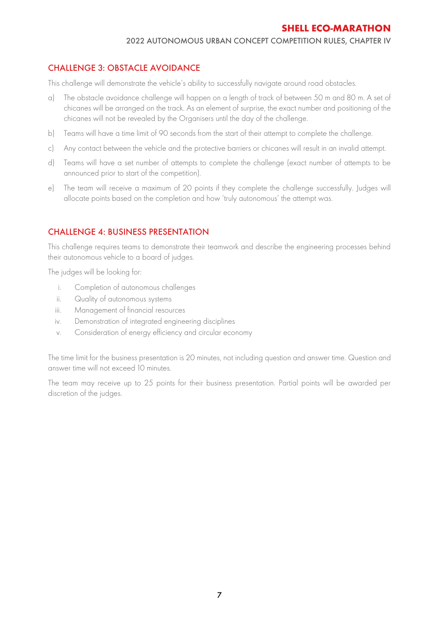#### 2022 AUTONOMOUS URBAN CONCEPT COMPETITION RULES, CHAPTER IV

### <span id="page-8-0"></span>CHALLENGE 3: OBSTACLE AVOIDANCE

This challenge will demonstrate the vehicle's ability to successfully navigate around road obstacles.

- a) The obstacle avoidance challenge will happen on a length of track of between 50 m and 80 m. A set of chicanes will be arranged on the track. As an element of surprise, the exact number and positioning of the chicanes will not be revealed by the Organisers until the day of the challenge.
- b) Teams will have a time limit of 90 seconds from the start of their attempt to complete the challenge.
- c) Any contact between the vehicle and the protective barriers or chicanes will result in an invalid attempt.
- d) Teams will have a set number of attempts to complete the challenge (exact number of attempts to be announced prior to start of the competition).
- e) The team will receive a maximum of 20 points if they complete the challenge successfully. Judges will allocate points based on the completion and how 'truly autonomous' the attempt was.

#### <span id="page-8-1"></span>CHALLENGE 4: BUSINESS PRESENTATION

This challenge requires teams to demonstrate their teamwork and describe the engineering processes behind their autonomous vehicle to a board of judges.

The judges will be looking for:

- i. Completion of autonomous challenges
- ii. Quality of autonomous systems
- iii. Management of financial resources
- iv. Demonstration of integrated engineering disciplines
- v. Consideration of energy efficiency and circular economy

The time limit for the business presentation is 20 minutes, not including question and answer time. Question and answer time will not exceed 10 minutes.

The team may receive up to 25 points for their business presentation. Partial points will be awarded per discretion of the judges.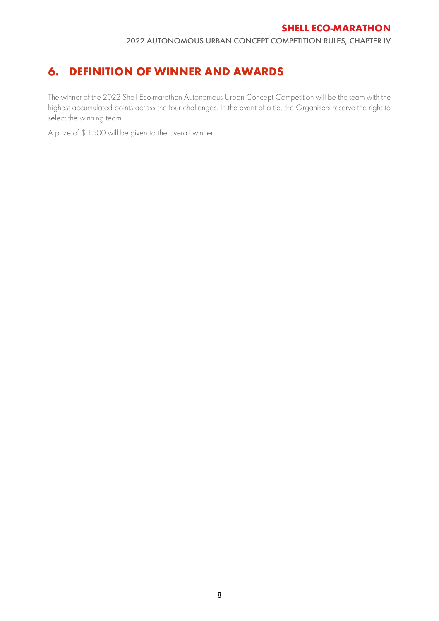2022 AUTONOMOUS URBAN CONCEPT COMPETITION RULES, CHAPTER IV

# <span id="page-9-0"></span>**6. DEFINITION OF WINNER AND AWARDS**

The winner of the 2022 Shell Eco-marathon Autonomous Urban Concept Competition will be the team with the highest accumulated points across the four challenges. In the event of a tie, the Organisers reserve the right to select the winning team.

A prize of \$ 1,500 will be given to the overall winner.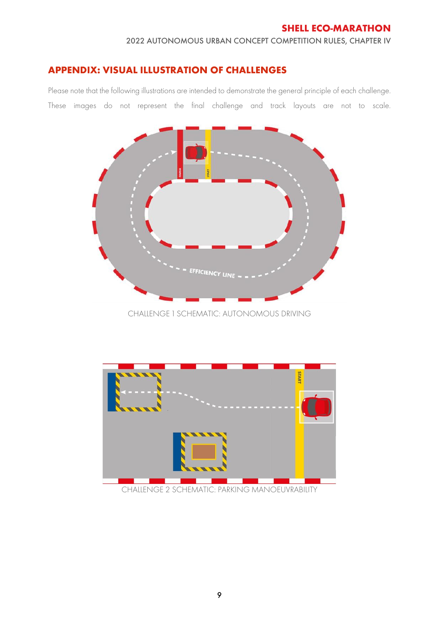#### 2022 AUTONOMOUS URBAN CONCEPT COMPETITION RULES, CHAPTER IV

## <span id="page-10-0"></span>**APPENDIX: VISUAL ILLUSTRATION OF CHALLENGES**

Please note that the following illustrations are intended to demonstrate the general principle of each challenge. These images do not represent the final challenge and track layouts are not to scale.



CHALLENGE 1 SCHEMATIC: AUTONOMOUS DRIVING



CHALLENGE 2 SCHEMATIC: PARKING MANOEUVRABILITY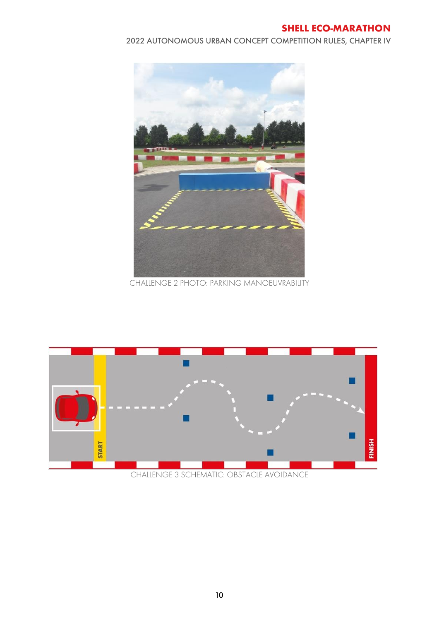2022 AUTONOMOUS URBAN CONCEPT COMPETITION RULES, CHAPTER IV



CHALLENGE 2 PHOTO: PARKING MANOEUVRABILITY



CHALLENGE 3 SCHEMATIC: OBSTACLE AVOIDANCE